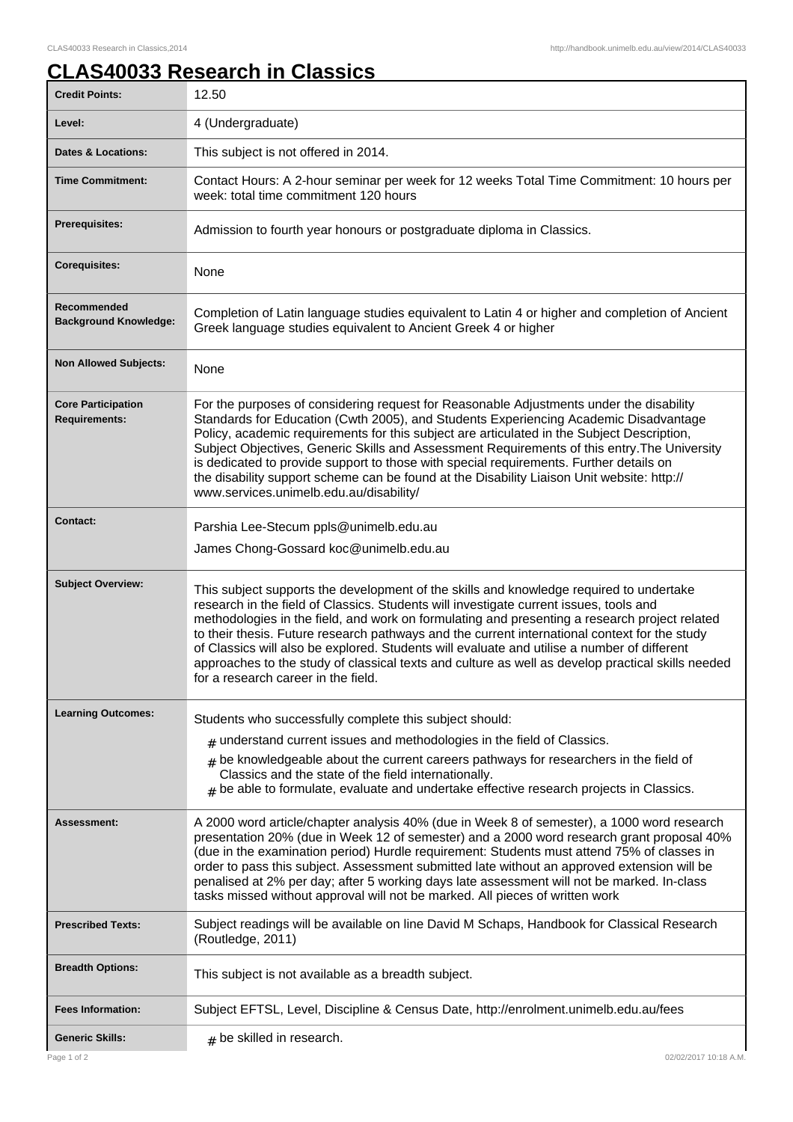## **CLAS40033 Research in Classics**

| <b>Credit Points:</b>                             | 12.50                                                                                                                                                                                                                                                                                                                                                                                                                                                                                                                                                                                                                          |
|---------------------------------------------------|--------------------------------------------------------------------------------------------------------------------------------------------------------------------------------------------------------------------------------------------------------------------------------------------------------------------------------------------------------------------------------------------------------------------------------------------------------------------------------------------------------------------------------------------------------------------------------------------------------------------------------|
| Level:                                            | 4 (Undergraduate)                                                                                                                                                                                                                                                                                                                                                                                                                                                                                                                                                                                                              |
| <b>Dates &amp; Locations:</b>                     | This subject is not offered in 2014.                                                                                                                                                                                                                                                                                                                                                                                                                                                                                                                                                                                           |
| <b>Time Commitment:</b>                           | Contact Hours: A 2-hour seminar per week for 12 weeks Total Time Commitment: 10 hours per<br>week: total time commitment 120 hours                                                                                                                                                                                                                                                                                                                                                                                                                                                                                             |
| <b>Prerequisites:</b>                             | Admission to fourth year honours or postgraduate diploma in Classics.                                                                                                                                                                                                                                                                                                                                                                                                                                                                                                                                                          |
| <b>Corequisites:</b>                              | None                                                                                                                                                                                                                                                                                                                                                                                                                                                                                                                                                                                                                           |
| Recommended<br><b>Background Knowledge:</b>       | Completion of Latin language studies equivalent to Latin 4 or higher and completion of Ancient<br>Greek language studies equivalent to Ancient Greek 4 or higher                                                                                                                                                                                                                                                                                                                                                                                                                                                               |
| <b>Non Allowed Subjects:</b>                      | None                                                                                                                                                                                                                                                                                                                                                                                                                                                                                                                                                                                                                           |
| <b>Core Participation</b><br><b>Requirements:</b> | For the purposes of considering request for Reasonable Adjustments under the disability<br>Standards for Education (Cwth 2005), and Students Experiencing Academic Disadvantage<br>Policy, academic requirements for this subject are articulated in the Subject Description,<br>Subject Objectives, Generic Skills and Assessment Requirements of this entry. The University<br>is dedicated to provide support to those with special requirements. Further details on<br>the disability support scheme can be found at the Disability Liaison Unit website: http://<br>www.services.unimelb.edu.au/disability/               |
| <b>Contact:</b>                                   | Parshia Lee-Stecum ppls@unimelb.edu.au<br>James Chong-Gossard koc@unimelb.edu.au                                                                                                                                                                                                                                                                                                                                                                                                                                                                                                                                               |
| <b>Subject Overview:</b>                          | This subject supports the development of the skills and knowledge required to undertake<br>research in the field of Classics. Students will investigate current issues, tools and<br>methodologies in the field, and work on formulating and presenting a research project related<br>to their thesis. Future research pathways and the current international context for the study<br>of Classics will also be explored. Students will evaluate and utilise a number of different<br>approaches to the study of classical texts and culture as well as develop practical skills needed<br>for a research career in the field. |
| <b>Learning Outcomes:</b>                         | Students who successfully complete this subject should:                                                                                                                                                                                                                                                                                                                                                                                                                                                                                                                                                                        |
|                                                   | $#$ understand current issues and methodologies in the field of Classics.                                                                                                                                                                                                                                                                                                                                                                                                                                                                                                                                                      |
|                                                   | be knowledgeable about the current careers pathways for researchers in the field of<br>#<br>Classics and the state of the field internationally.<br>$_{\rm H}$ be able to formulate, evaluate and undertake effective research projects in Classics.                                                                                                                                                                                                                                                                                                                                                                           |
| <b>Assessment:</b>                                | A 2000 word article/chapter analysis 40% (due in Week 8 of semester), a 1000 word research<br>presentation 20% (due in Week 12 of semester) and a 2000 word research grant proposal 40%<br>(due in the examination period) Hurdle requirement: Students must attend 75% of classes in<br>order to pass this subject. Assessment submitted late without an approved extension will be<br>penalised at 2% per day; after 5 working days late assessment will not be marked. In-class<br>tasks missed without approval will not be marked. All pieces of written work                                                             |
| <b>Prescribed Texts:</b>                          | Subject readings will be available on line David M Schaps, Handbook for Classical Research<br>(Routledge, 2011)                                                                                                                                                                                                                                                                                                                                                                                                                                                                                                                |
| <b>Breadth Options:</b>                           | This subject is not available as a breadth subject.                                                                                                                                                                                                                                                                                                                                                                                                                                                                                                                                                                            |
| <b>Fees Information:</b>                          | Subject EFTSL, Level, Discipline & Census Date, http://enrolment.unimelb.edu.au/fees                                                                                                                                                                                                                                                                                                                                                                                                                                                                                                                                           |
| <b>Generic Skills:</b>                            | $#$ be skilled in research.                                                                                                                                                                                                                                                                                                                                                                                                                                                                                                                                                                                                    |
| Page 1 of 2                                       | 02/02/2017 10:18 A.M.                                                                                                                                                                                                                                                                                                                                                                                                                                                                                                                                                                                                          |